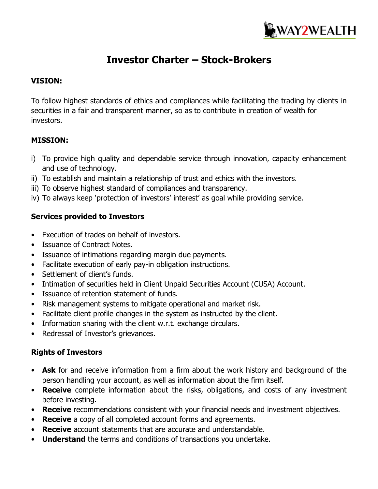

# **Investor Charter – Stock-Brokers**

### **VISION:**

To follow highest standards of ethics and compliances while facilitating the trading by clients in securities in a fair and transparent manner, so as to contribute in creation of wealth for investors.

# **MISSION:**

- i) To provide high quality and dependable service through innovation, capacity enhancement and use of technology.
- ii) To establish and maintain a relationship of trust and ethics with the investors.
- iii) To observe highest standard of compliances and transparency.
- iv) To always keep 'protection of investors' interest' as goal while providing service.

# **Services provided to Investors**

- Execution of trades on behalf of investors.
- Issuance of Contract Notes.
- Issuance of intimations regarding margin due payments.
- Facilitate execution of early pay-in obligation instructions.
- Settlement of client's funds.
- Intimation of securities held in Client Unpaid Securities Account (CUSA) Account.
- Issuance of retention statement of funds.
- Risk management systems to mitigate operational and market risk.
- Facilitate client profile changes in the system as instructed by the client.
- Information sharing with the client w.r.t. exchange circulars.
- Redressal of Investor's grievances.

# **Rights of Investors**

- **Ask** for and receive information from a firm about the work history and background of the person handling your account, as well as information about the firm itself.
- **Receive** complete information about the risks, obligations, and costs of any investment before investing.
- **Receive** recommendations consistent with your financial needs and investment objectives.
- **Receive** a copy of all completed account forms and agreements.
- **Receive** account statements that are accurate and understandable.
- **Understand** the terms and conditions of transactions you undertake.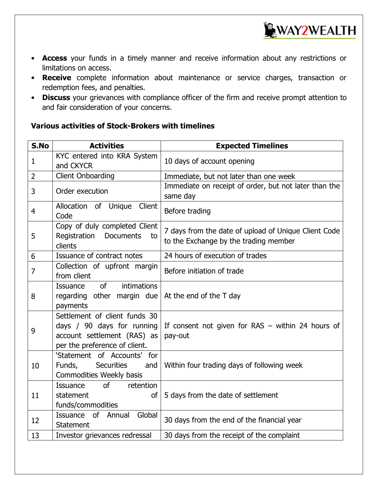

- **Access** your funds in a timely manner and receive information about any restrictions or limitations on access.
- **Receive** complete information about maintenance or service charges, transaction or redemption fees, and penalties.
- **Discuss** your grievances with compliance officer of the firm and receive prompt attention to and fair consideration of your concerns.

# **Various activities of Stock-Brokers with timelines**

| S.No           | <b>Activities</b>                                                                                                           | <b>Expected Timelines</b>                                                                     |
|----------------|-----------------------------------------------------------------------------------------------------------------------------|-----------------------------------------------------------------------------------------------|
| 1              | KYC entered into KRA System<br>and CKYCR                                                                                    | 10 days of account opening                                                                    |
| $\overline{2}$ | <b>Client Onboarding</b>                                                                                                    | Immediate, but not later than one week                                                        |
| 3              | Order execution                                                                                                             | Immediate on receipt of order, but not later than the<br>same day                             |
| 4              | Allocation of Unique<br>Client<br>Code                                                                                      | Before trading                                                                                |
| 5              | Copy of duly completed Client<br>Registration<br><b>Documents</b><br>to<br>clients                                          | 7 days from the date of upload of Unique Client Code<br>to the Exchange by the trading member |
| 6              | Issuance of contract notes                                                                                                  | 24 hours of execution of trades                                                               |
| $\overline{7}$ | Collection of upfront margin<br>from client                                                                                 | Before initiation of trade                                                                    |
| 8              | <sub>of</sub><br>intimations<br><b>Issuance</b><br>regarding other margin due<br>payments                                   | At the end of the T day                                                                       |
| 9              | Settlement of client funds 30<br>days / 90 days for running<br>account settlement (RAS) as<br>per the preference of client. | If consent not given for $RAS -$ within 24 hours of<br>pay-out                                |
| 10             | 'Statement of Accounts'<br>for<br><b>Securities</b><br>Funds,<br>and<br>Commodities Weekly basis                            | Within four trading days of following week                                                    |
| 11             | <sub>of</sub><br>retention<br><b>Issuance</b><br>statement<br><b>of</b><br>funds/commodities                                | 5 days from the date of settlement                                                            |
| 12             | of<br>Global<br>Issuance<br>Annual<br><b>Statement</b>                                                                      | 30 days from the end of the financial year                                                    |
| 13             | Investor grievances redressal                                                                                               | 30 days from the receipt of the complaint                                                     |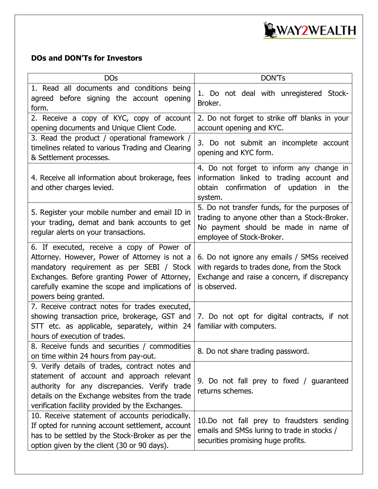

# **DOs and DON'Ts for Investors**

| <b>DOs</b>                                                                                                                                                                                                                                                            | <b>DON'Ts</b>                                                                                                                                                      |  |  |  |
|-----------------------------------------------------------------------------------------------------------------------------------------------------------------------------------------------------------------------------------------------------------------------|--------------------------------------------------------------------------------------------------------------------------------------------------------------------|--|--|--|
| 1. Read all documents and conditions being<br>agreed before signing the account opening<br>form.                                                                                                                                                                      | 1. Do not deal with unregistered Stock-<br>Broker.                                                                                                                 |  |  |  |
| 2. Receive a copy of KYC, copy of account<br>opening documents and Unique Client Code.                                                                                                                                                                                | 2. Do not forget to strike off blanks in your<br>account opening and KYC.                                                                                          |  |  |  |
| 3. Read the product / operational framework /<br>timelines related to various Trading and Clearing<br>& Settlement processes.                                                                                                                                         | 3. Do not submit an incomplete account<br>opening and KYC form.                                                                                                    |  |  |  |
| 4. Receive all information about brokerage, fees<br>and other charges levied.                                                                                                                                                                                         | 4. Do not forget to inform any change in<br>information linked to trading account and<br>obtain confirmation of updation in<br>the<br>system.                      |  |  |  |
| 5. Register your mobile number and email ID in<br>your trading, demat and bank accounts to get<br>regular alerts on your transactions.                                                                                                                                | 5. Do not transfer funds, for the purposes of<br>trading to anyone other than a Stock-Broker.<br>No payment should be made in name of<br>employee of Stock-Broker. |  |  |  |
| 6. If executed, receive a copy of Power of<br>Attorney. However, Power of Attorney is not a<br>mandatory requirement as per SEBI / Stock<br>Exchanges. Before granting Power of Attorney,<br>carefully examine the scope and implications of<br>powers being granted. | 6. Do not ignore any emails / SMSs received<br>with regards to trades done, from the Stock<br>Exchange and raise a concern, if discrepancy<br>is observed.         |  |  |  |
| 7. Receive contract notes for trades executed,<br>showing transaction price, brokerage, GST and<br>STT etc. as applicable, separately, within 24<br>hours of execution of trades.                                                                                     | 7. Do not opt for digital contracts, if not<br>familiar with computers.                                                                                            |  |  |  |
| 8. Receive funds and securities / commodities<br>on time within 24 hours from pay-out.                                                                                                                                                                                | 8. Do not share trading password.                                                                                                                                  |  |  |  |
| 9. Verify details of trades, contract notes and<br>statement of account and approach relevant<br>authority for any discrepancies. Verify trade<br>details on the Exchange websites from the trade<br>verification facility provided by the Exchanges.                 | 9. Do not fall prey to fixed / guaranteed<br>returns schemes.                                                                                                      |  |  |  |
| 10. Receive statement of accounts periodically.<br>If opted for running account settlement, account<br>has to be settled by the Stock-Broker as per the<br>option given by the client (30 or 90 days).                                                                | 10.Do not fall prey to fraudsters sending<br>emails and SMSs luring to trade in stocks /<br>securities promising huge profits.                                     |  |  |  |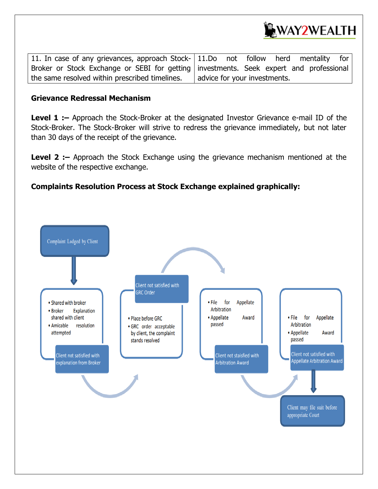

11. In case of any grievances, approach Stock-Broker or Stock Exchange or SEBI for getting the same resolved within prescribed timelines. 11.Do not follow herd mentality for investments. Seek expert and professional advice for your investments.

#### **Grievance Redressal Mechanism**

**Level 1 :** - Approach the Stock-Broker at the designated Investor Grievance e-mail ID of the Stock-Broker. The Stock-Broker will strive to redress the grievance immediately, but not later than 30 days of the receipt of the grievance.

**Level 2 :–** Approach the Stock Exchange using the grievance mechanism mentioned at the website of the respective exchange.

#### **Complaints Resolution Process at Stock Exchange explained graphically:**

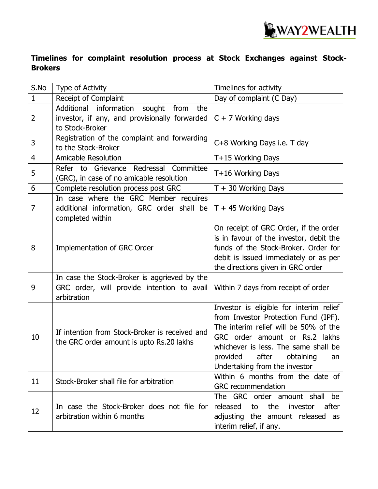

**Timelines for complaint resolution process at Stock Exchanges against Stock-Brokers**

| S.No           | Type of Activity                                                                                                 | Timelines for activity                                                                                                                                                                                                                                                |  |  |
|----------------|------------------------------------------------------------------------------------------------------------------|-----------------------------------------------------------------------------------------------------------------------------------------------------------------------------------------------------------------------------------------------------------------------|--|--|
| $\mathbf{1}$   | Receipt of Complaint                                                                                             | Day of complaint (C Day)                                                                                                                                                                                                                                              |  |  |
| $\overline{2}$ | Additional information<br>sought<br>from the<br>investor, if any, and provisionally forwarded<br>to Stock-Broker | $C + 7$ Working days                                                                                                                                                                                                                                                  |  |  |
| 3              | Registration of the complaint and forwarding<br>to the Stock-Broker                                              | C+8 Working Days i.e. T day                                                                                                                                                                                                                                           |  |  |
| 4              | <b>Amicable Resolution</b>                                                                                       | T+15 Working Days                                                                                                                                                                                                                                                     |  |  |
| 5              | Refer to Grievance Redressal Committee<br>(GRC), in case of no amicable resolution                               | T+16 Working Days                                                                                                                                                                                                                                                     |  |  |
| 6              | Complete resolution process post GRC                                                                             | $T + 30$ Working Days                                                                                                                                                                                                                                                 |  |  |
| 7              | In case where the GRC Member requires<br>additional information, GRC order shall be<br>completed within          | $T + 45$ Working Days                                                                                                                                                                                                                                                 |  |  |
| 8              | Implementation of GRC Order                                                                                      | On receipt of GRC Order, if the order<br>is in favour of the investor, debit the<br>funds of the Stock-Broker. Order for<br>debit is issued immediately or as per<br>the directions given in GRC order                                                                |  |  |
| 9              | In case the Stock-Broker is aggrieved by the<br>GRC order, will provide intention to avail<br>arbitration        | Within 7 days from receipt of order                                                                                                                                                                                                                                   |  |  |
| 10             | If intention from Stock-Broker is received and<br>the GRC order amount is upto Rs.20 lakhs                       | Investor is eligible for interim relief<br>from Investor Protection Fund (IPF).<br>The interim relief will be 50% of the<br>GRC order amount or Rs.2 lakhs<br>whichever is less. The same shall be<br>provided after obtaining<br>an<br>Undertaking from the investor |  |  |
| 11             | Stock-Broker shall file for arbitration                                                                          | Within 6 months from the date of<br><b>GRC</b> recommendation                                                                                                                                                                                                         |  |  |
| 12             | In case the Stock-Broker does not file for<br>arbitration within 6 months                                        | The GRC order amount shall<br>be<br>released<br>the<br>investor<br>after<br>to<br>adjusting the amount released as<br>interim relief, if any.                                                                                                                         |  |  |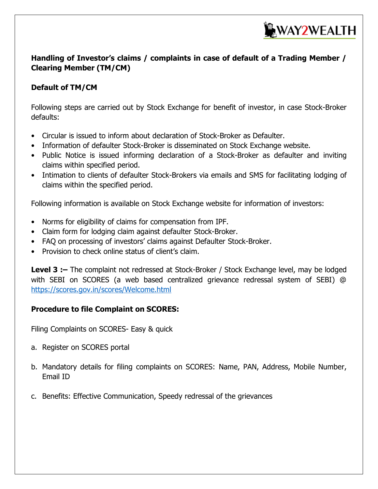

# **Handling of Investor's claims / complaints in case of default of a Trading Member / Clearing Member (TM/CM)**

# **Default of TM/CM**

Following steps are carried out by Stock Exchange for benefit of investor, in case Stock-Broker defaults:

- Circular is issued to inform about declaration of Stock-Broker as Defaulter.
- Information of defaulter Stock-Broker is disseminated on Stock Exchange website.
- Public Notice is issued informing declaration of a Stock-Broker as defaulter and inviting claims within specified period.
- Intimation to clients of defaulter Stock-Brokers via emails and SMS for facilitating lodging of claims within the specified period.

Following information is available on Stock Exchange website for information of investors:

- Norms for eligibility of claims for compensation from IPF.
- Claim form for lodging claim against defaulter Stock-Broker.
- FAQ on processing of investors' claims against Defaulter Stock-Broker.
- Provision to check online status of client's claim.

**Level 3 :–** The complaint not redressed at Stock-Broker / Stock Exchange level, may be lodged with SEBI on SCORES (a web based centralized grievance redressal system of SEBI) @ <https://scores.gov.in/scores/Welcome.html>

# **Procedure to file Complaint on SCORES:**

Filing Complaints on SCORES- Easy & quick

- a. Register on SCORES portal
- b. Mandatory details for filing complaints on SCORES: Name, PAN, Address, Mobile Number, Email ID
- c. Benefits: Effective Communication, Speedy redressal of the grievances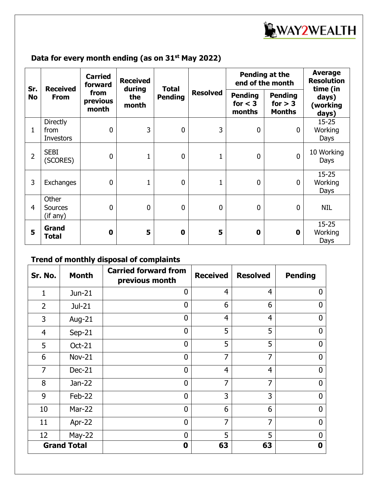

# **Data for every month ending (as on 31st May 2022)**

| Sr.<br><b>No</b> | <b>Received</b><br><b>From</b>              | <b>Carried</b><br>forward<br>from<br>previous<br>month | <b>Received</b><br>during<br>the<br>month | <b>Total</b><br><b>Pending</b> | <b>Resolved</b> | Pending at the<br>end of the month    |                                              | <b>Average</b><br><b>Resolution</b><br>time (in |
|------------------|---------------------------------------------|--------------------------------------------------------|-------------------------------------------|--------------------------------|-----------------|---------------------------------------|----------------------------------------------|-------------------------------------------------|
|                  |                                             |                                                        |                                           |                                |                 | <b>Pending</b><br>for $<$ 3<br>months | <b>Pending</b><br>for $> 3$<br><b>Months</b> | days)<br>(working<br>days)                      |
| 1                | <b>Directly</b><br>from<br><b>Investors</b> | $\mathbf 0$                                            | 3                                         | $\overline{0}$                 | 3               | $\mathbf 0$                           | $\mathbf 0$                                  | $15 - 25$<br>Working<br>Days                    |
| $\overline{2}$   | <b>SEBI</b><br>(SCORES)                     | $\mathbf 0$                                            | $\mathbf{1}$                              | $\mathbf 0$                    | $\mathbf{1}$    | $\mathbf 0$                           | $\mathbf 0$                                  | 10 Working<br>Days                              |
| 3                | Exchanges                                   | $\mathbf 0$                                            | $\mathbf{1}$                              | $\overline{0}$                 |                 | $\mathbf 0$                           | $\mathbf{0}$                                 | $15 - 25$<br>Working<br>Days                    |
| 4                | Other<br><b>Sources</b><br>(if any)         | $\mathbf 0$                                            | $\mathbf 0$                               | $\mathbf 0$                    | $\overline{0}$  | $\mathbf 0$                           | $\mathbf{0}$                                 | <b>NIL</b>                                      |
| 5                | Grand<br><b>Total</b>                       | $\mathbf 0$                                            | 5                                         | $\bf{0}$                       | 5               | $\mathbf 0$                           | $\mathbf 0$                                  | $15 - 25$<br>Working<br>Days                    |

# **Trend of monthly disposal of complaints**

| Sr. No.            | <b>Month</b>  | <b>Carried forward from</b><br>previous month | <b>Received</b> | <b>Resolved</b> | <b>Pending</b> |
|--------------------|---------------|-----------------------------------------------|-----------------|-----------------|----------------|
| 1                  | Jun-21        | $\Omega$                                      | 4               | $\overline{4}$  | $\mathbf{0}$   |
| $\overline{2}$     | $Jul-21$      | $\mathbf{0}$                                  | 6               | 6               | 0              |
| 3                  | Aug-21        | $\overline{0}$                                | $\overline{4}$  | 4               | $\overline{0}$ |
| $\overline{4}$     | $Sep-21$      | $\overline{0}$                                | 5               | 5               | $\overline{0}$ |
| 5                  | <b>Oct-21</b> | $\overline{0}$                                | 5               | 5               | $\mathbf 0$    |
| 6                  | <b>Nov-21</b> | $\overline{0}$                                | $\overline{7}$  | $\overline{7}$  | $\mathbf{0}$   |
| 7                  | Dec-21        | $\overline{0}$                                | 4               | $\overline{4}$  | $\mathbf 0$    |
| 8                  | $Jan-22$      | $\overline{0}$                                | $\overline{7}$  | 7               | $\Omega$       |
| 9                  | Feb-22        | $\overline{0}$                                | 3               | 3               | $\overline{0}$ |
| 10                 | <b>Mar-22</b> | $\overline{0}$                                | 6               | 6               | $\overline{0}$ |
| 11                 | Apr-22        | $\overline{0}$                                | $\overline{7}$  | 7               | $\mathbf{0}$   |
| 12                 | $May-22$      | 0                                             | 5               | 5               | $\mathbf 0$    |
| <b>Grand Total</b> |               | 0                                             | 63              | 63              | 0              |